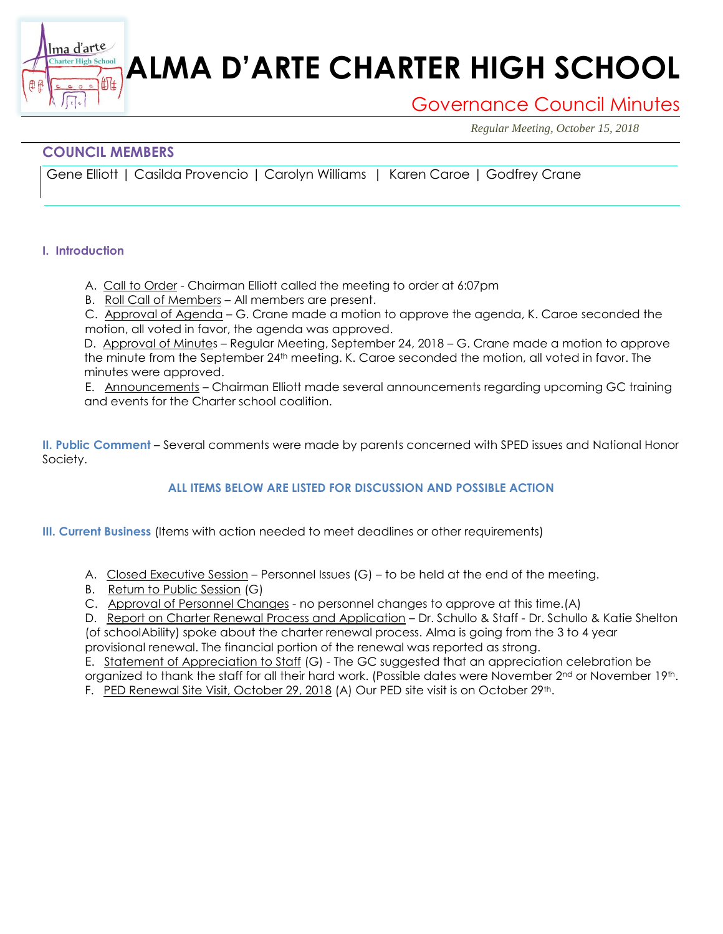# **ALMA D'ARTE CHARTER HIGH SCHOOL**

## Governance Council Minutes

*Regular Meeting, October 15, 2018*

### **COUNCIL MEMBERS**

衄

Gene Elliott | Casilda Provencio | Carolyn Williams | Karen Caroe | Godfrey Crane

#### **I. Introduction**

Ima d'arte **Charter High School** 

A. Call to Order - Chairman Elliott called the meeting to order at 6:07pm

B. Roll Call of Members – All members are present.

C. Approval of Agenda – G. Crane made a motion to approve the agenda, K. Caroe seconded the motion, all voted in favor, the agenda was approved.

D. Approval of Minutes - Regular Meeting, September 24, 2018 - G. Crane made a motion to approve the minute from the September 24th meeting. K. Caroe seconded the motion, all voted in favor. The minutes were approved.

E. Announcements – Chairman Elliott made several announcements regarding upcoming GC training and events for the Charter school coalition.

**II. Public Comment** – Several comments were made by parents concerned with SPED issues and National Honor Society.

#### **ALL ITEMS BELOW ARE LISTED FOR DISCUSSION AND POSSIBLE ACTION**

**III. Current Business** (Items with action needed to meet deadlines or other requirements)

- A. Closed Executive Session Personnel Issues (G) to be held at the end of the meeting.
- B. Return to Public Session (G)

C. Approval of Personnel Changes - no personnel changes to approve at this time.(A)

D. Report on Charter Renewal Process and Application – Dr. Schullo & Staff - Dr. Schullo & Katie Shelton (of schoolAbility) spoke about the charter renewal process. Alma is going from the 3 to 4 year

provisional renewal. The financial portion of the renewal was reported as strong. E. Statement of Appreciation to Staff (G) - The GC suggested that an appreciation celebration be

organized to thank the staff for all their hard work. (Possible dates were November 2<sup>nd</sup> or November 19th.

F. PED Renewal Site Visit, October 29, 2018 (A) Our PED site visit is on October 29th.